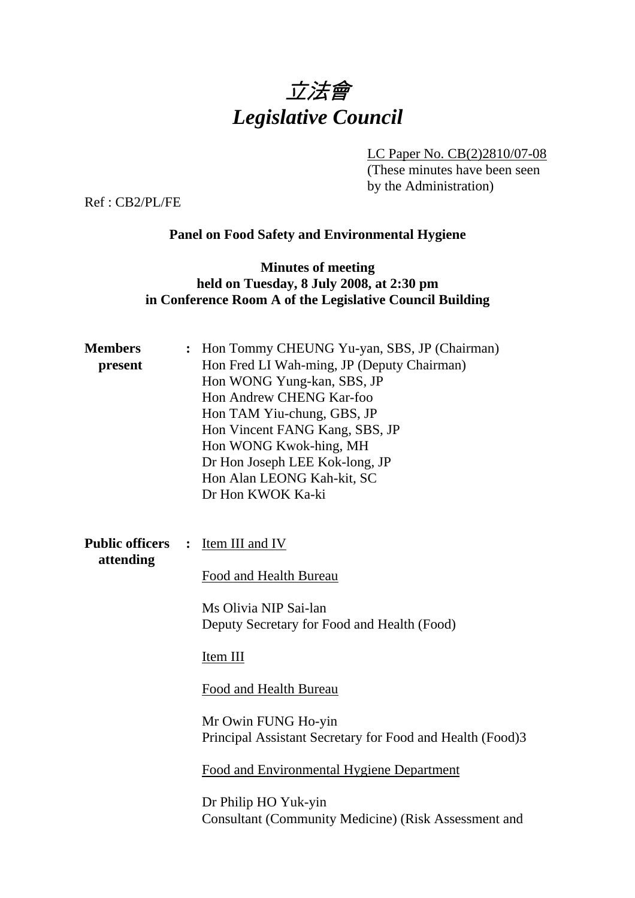

LC Paper No. CB(2)2810/07-08

(These minutes have been seen by the Administration)

Ref : CB2/PL/FE

# **Panel on Food Safety and Environmental Hygiene**

## **Minutes of meeting held on Tuesday, 8 July 2008, at 2:30 pm in Conference Room A of the Legislative Council Building**

| Item III and IV<br>Food and Health Bureau<br>Ms Olivia NIP Sai-lan<br>Deputy Secretary for Food and Health (Food)                                                                                                                                          |
|------------------------------------------------------------------------------------------------------------------------------------------------------------------------------------------------------------------------------------------------------------|
| Item III<br>Food and Health Bureau<br>Mr Owin FUNG Ho-yin<br>Principal Assistant Secretary for Food and Health (Food)3<br>Food and Environmental Hygiene Department<br>Dr Philip HO Yuk-yin<br><b>Consultant (Community Medicine) (Risk Assessment and</b> |
|                                                                                                                                                                                                                                                            |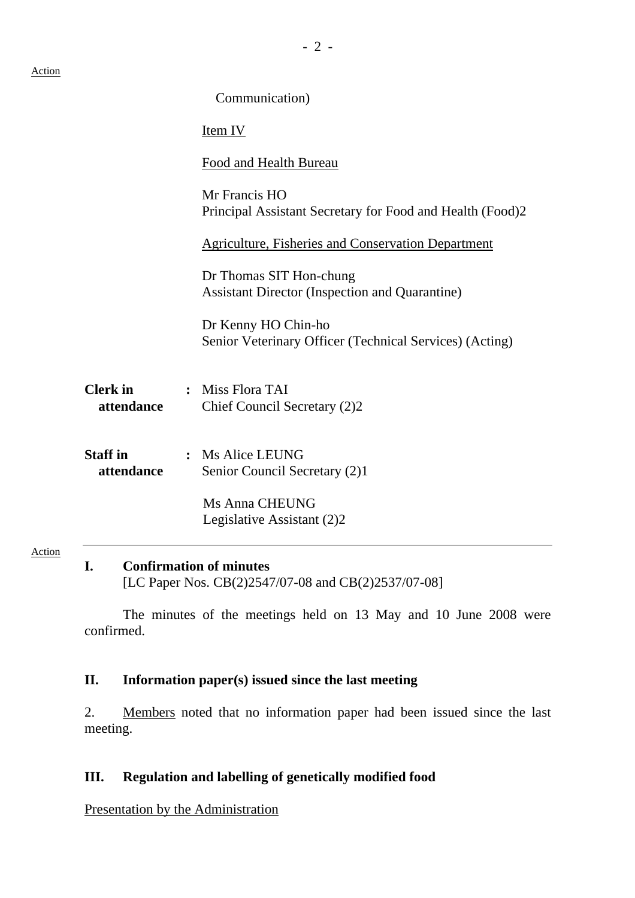Action

|                               | Communication)                                                                   |  |
|-------------------------------|----------------------------------------------------------------------------------|--|
|                               | Item IV                                                                          |  |
|                               | <b>Food and Health Bureau</b>                                                    |  |
|                               | Mr Francis HO<br>Principal Assistant Secretary for Food and Health (Food)2       |  |
|                               | <b>Agriculture, Fisheries and Conservation Department</b>                        |  |
|                               | Dr Thomas SIT Hon-chung<br><b>Assistant Director (Inspection and Quarantine)</b> |  |
|                               | Dr Kenny HO Chin-ho<br>Senior Veterinary Officer (Technical Services) (Acting)   |  |
| <b>Clerk</b> in<br>attendance | : Miss Flora TAI<br>Chief Council Secretary (2)2                                 |  |
| <b>Staff</b> in<br>attendance | : Ms Alice LEUNG<br>Senior Council Secretary (2)1                                |  |
|                               | Ms Anna CHEUNG<br>Legislative Assistant (2)2                                     |  |
|                               |                                                                                  |  |

#### **I. Confirmation of minutes**

[LC Paper Nos. CB(2)2547/07-08 and CB(2)2537/07-08]

The minutes of the meetings held on 13 May and 10 June 2008 were confirmed.

### **II. Information paper(s) issued since the last meeting**

2. Members noted that no information paper had been issued since the last meeting.

### **III. Regulation and labelling of genetically modified food**

Presentation by the Administration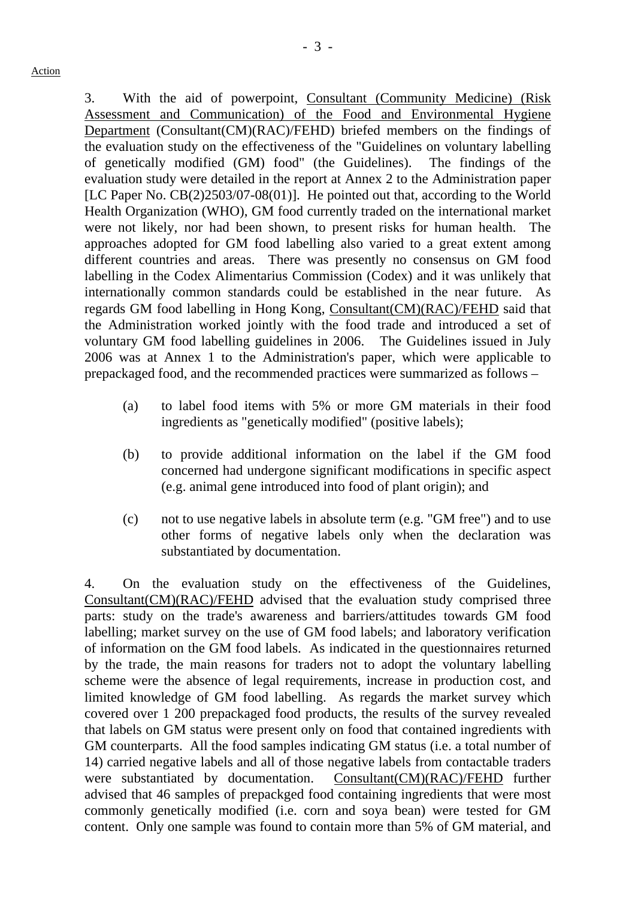- 3 -

3. With the aid of powerpoint, Consultant (Community Medicine) (Risk Assessment and Communication) of the Food and Environmental Hygiene Department (Consultant(CM)(RAC)/FEHD) briefed members on the findings of the evaluation study on the effectiveness of the "Guidelines on voluntary labelling of genetically modified (GM) food" (the Guidelines). The findings of the evaluation study were detailed in the report at Annex 2 to the Administration paper [LC Paper No. CB(2)2503/07-08(01)]. He pointed out that, according to the World Health Organization (WHO), GM food currently traded on the international market were not likely, nor had been shown, to present risks for human health. The approaches adopted for GM food labelling also varied to a great extent among different countries and areas. There was presently no consensus on GM food labelling in the Codex Alimentarius Commission (Codex) and it was unlikely that internationally common standards could be established in the near future. As regards GM food labelling in Hong Kong, Consultant(CM)(RAC)/FEHD said that the Administration worked jointly with the food trade and introduced a set of voluntary GM food labelling guidelines in 2006. The Guidelines issued in July 2006 was at Annex 1 to the Administration's paper, which were applicable to prepackaged food, and the recommended practices were summarized as follows –

- (a) to label food items with 5% or more GM materials in their food ingredients as "genetically modified" (positive labels);
- (b) to provide additional information on the label if the GM food concerned had undergone significant modifications in specific aspect (e.g. animal gene introduced into food of plant origin); and
- (c) not to use negative labels in absolute term (e.g. "GM free") and to use other forms of negative labels only when the declaration was substantiated by documentation.

4. On the evaluation study on the effectiveness of the Guidelines, Consultant(CM)(RAC)/FEHD advised that the evaluation study comprised three parts: study on the trade's awareness and barriers/attitudes towards GM food labelling; market survey on the use of GM food labels; and laboratory verification of information on the GM food labels. As indicated in the questionnaires returned by the trade, the main reasons for traders not to adopt the voluntary labelling scheme were the absence of legal requirements, increase in production cost, and limited knowledge of GM food labelling. As regards the market survey which covered over 1 200 prepackaged food products, the results of the survey revealed that labels on GM status were present only on food that contained ingredients with GM counterparts. All the food samples indicating GM status (i.e. a total number of 14) carried negative labels and all of those negative labels from contactable traders were substantiated by documentation. Consultant(CM)(RAC)/FEHD further advised that 46 samples of prepackged food containing ingredients that were most commonly genetically modified (i.e. corn and soya bean) were tested for GM content. Only one sample was found to contain more than 5% of GM material, and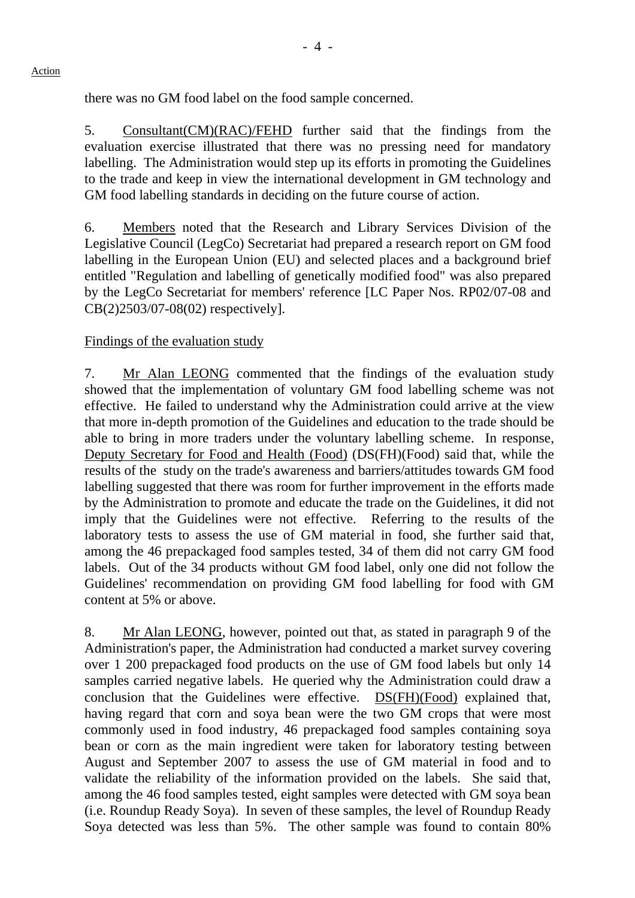there was no GM food label on the food sample concerned.

5. Consultant(CM)(RAC)/FEHD further said that the findings from the evaluation exercise illustrated that there was no pressing need for mandatory labelling. The Administration would step up its efforts in promoting the Guidelines to the trade and keep in view the international development in GM technology and GM food labelling standards in deciding on the future course of action.

6. Members noted that the Research and Library Services Division of the Legislative Council (LegCo) Secretariat had prepared a research report on GM food labelling in the European Union (EU) and selected places and a background brief entitled "Regulation and labelling of genetically modified food" was also prepared by the LegCo Secretariat for members' reference [LC Paper Nos. RP02/07-08 and CB(2)2503/07-08(02) respectively].

### Findings of the evaluation study

7. Mr Alan LEONG commented that the findings of the evaluation study showed that the implementation of voluntary GM food labelling scheme was not effective. He failed to understand why the Administration could arrive at the view that more in-depth promotion of the Guidelines and education to the trade should be able to bring in more traders under the voluntary labelling scheme. In response, Deputy Secretary for Food and Health (Food) (DS(FH)(Food) said that, while the results of the study on the trade's awareness and barriers/attitudes towards GM food labelling suggested that there was room for further improvement in the efforts made by the Administration to promote and educate the trade on the Guidelines, it did not imply that the Guidelines were not effective. Referring to the results of the laboratory tests to assess the use of GM material in food, she further said that, among the 46 prepackaged food samples tested, 34 of them did not carry GM food labels. Out of the 34 products without GM food label, only one did not follow the Guidelines' recommendation on providing GM food labelling for food with GM content at 5% or above.

8. Mr Alan LEONG, however, pointed out that, as stated in paragraph 9 of the Administration's paper, the Administration had conducted a market survey covering over 1 200 prepackaged food products on the use of GM food labels but only 14 samples carried negative labels. He queried why the Administration could draw a conclusion that the Guidelines were effective. DS(FH)(Food) explained that, having regard that corn and soya bean were the two GM crops that were most commonly used in food industry, 46 prepackaged food samples containing soya bean or corn as the main ingredient were taken for laboratory testing between August and September 2007 to assess the use of GM material in food and to validate the reliability of the information provided on the labels. She said that, among the 46 food samples tested, eight samples were detected with GM soya bean (i.e. Roundup Ready Soya). In seven of these samples, the level of Roundup Ready Soya detected was less than 5%. The other sample was found to contain 80%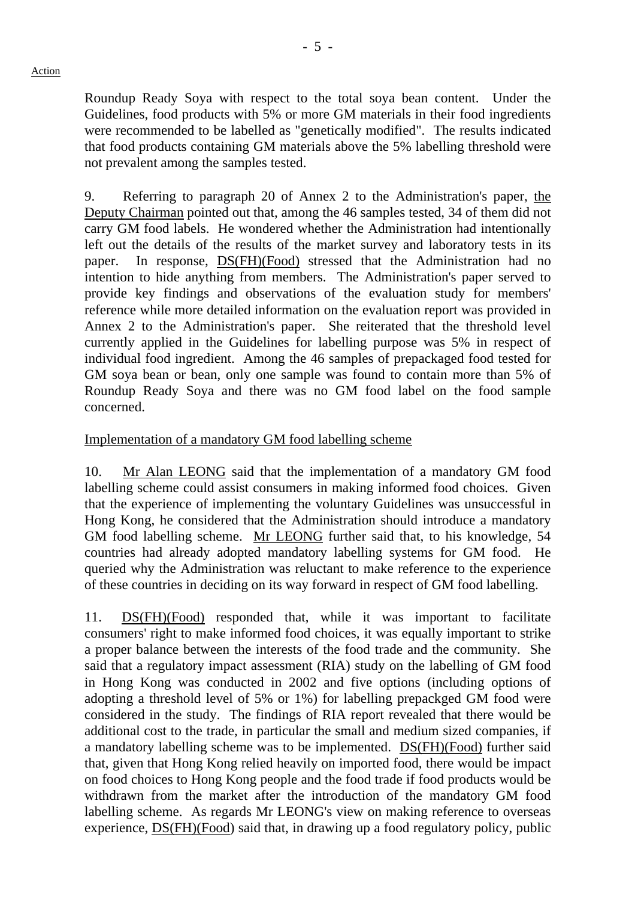Roundup Ready Soya with respect to the total soya bean content. Under the Guidelines, food products with 5% or more GM materials in their food ingredients were recommended to be labelled as "genetically modified". The results indicated that food products containing GM materials above the 5% labelling threshold were not prevalent among the samples tested.

9. Referring to paragraph 20 of Annex 2 to the Administration's paper, the Deputy Chairman pointed out that, among the 46 samples tested, 34 of them did not carry GM food labels. He wondered whether the Administration had intentionally left out the details of the results of the market survey and laboratory tests in its paper. In response, DS(FH)(Food) stressed that the Administration had no intention to hide anything from members. The Administration's paper served to provide key findings and observations of the evaluation study for members' reference while more detailed information on the evaluation report was provided in Annex 2 to the Administration's paper. She reiterated that the threshold level currently applied in the Guidelines for labelling purpose was 5% in respect of individual food ingredient. Among the 46 samples of prepackaged food tested for GM soya bean or bean, only one sample was found to contain more than 5% of Roundup Ready Soya and there was no GM food label on the food sample concerned.

### Implementation of a mandatory GM food labelling scheme

10. Mr Alan LEONG said that the implementation of a mandatory GM food labelling scheme could assist consumers in making informed food choices. Given that the experience of implementing the voluntary Guidelines was unsuccessful in Hong Kong, he considered that the Administration should introduce a mandatory GM food labelling scheme. Mr LEONG further said that, to his knowledge, 54 countries had already adopted mandatory labelling systems for GM food. He queried why the Administration was reluctant to make reference to the experience of these countries in deciding on its way forward in respect of GM food labelling.

11. DS(FH)(Food) responded that, while it was important to facilitate consumers' right to make informed food choices, it was equally important to strike a proper balance between the interests of the food trade and the community. She said that a regulatory impact assessment (RIA) study on the labelling of GM food in Hong Kong was conducted in 2002 and five options (including options of adopting a threshold level of 5% or 1%) for labelling prepackged GM food were considered in the study. The findings of RIA report revealed that there would be additional cost to the trade, in particular the small and medium sized companies, if a mandatory labelling scheme was to be implemented. DS(FH)(Food) further said that, given that Hong Kong relied heavily on imported food, there would be impact on food choices to Hong Kong people and the food trade if food products would be withdrawn from the market after the introduction of the mandatory GM food labelling scheme. As regards Mr LEONG's view on making reference to overseas experience, DS(FH)(Food) said that, in drawing up a food regulatory policy, public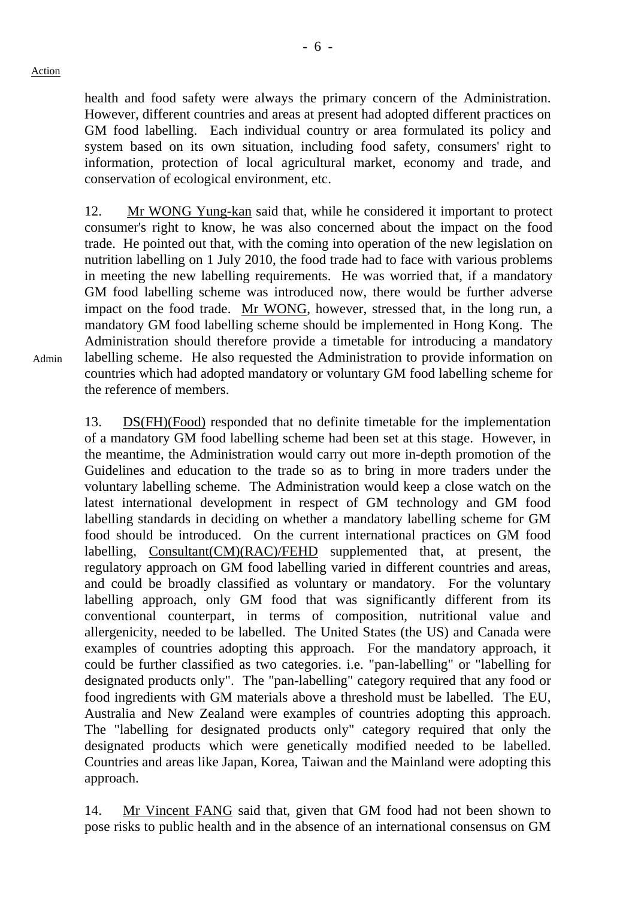Admin

health and food safety were always the primary concern of the Administration. However, different countries and areas at present had adopted different practices on GM food labelling. Each individual country or area formulated its policy and system based on its own situation, including food safety, consumers' right to information, protection of local agricultural market, economy and trade, and conservation of ecological environment, etc.

12. Mr WONG Yung-kan said that, while he considered it important to protect consumer's right to know, he was also concerned about the impact on the food trade. He pointed out that, with the coming into operation of the new legislation on nutrition labelling on 1 July 2010, the food trade had to face with various problems in meeting the new labelling requirements. He was worried that, if a mandatory GM food labelling scheme was introduced now, there would be further adverse impact on the food trade. Mr WONG, however, stressed that, in the long run, a mandatory GM food labelling scheme should be implemented in Hong Kong. The Administration should therefore provide a timetable for introducing a mandatory labelling scheme. He also requested the Administration to provide information on countries which had adopted mandatory or voluntary GM food labelling scheme for the reference of members.

13. DS(FH)(Food) responded that no definite timetable for the implementation of a mandatory GM food labelling scheme had been set at this stage. However, in the meantime, the Administration would carry out more in-depth promotion of the Guidelines and education to the trade so as to bring in more traders under the voluntary labelling scheme. The Administration would keep a close watch on the latest international development in respect of GM technology and GM food labelling standards in deciding on whether a mandatory labelling scheme for GM food should be introduced. On the current international practices on GM food labelling, Consultant(CM)(RAC)/FEHD supplemented that, at present, the regulatory approach on GM food labelling varied in different countries and areas, and could be broadly classified as voluntary or mandatory. For the voluntary labelling approach, only GM food that was significantly different from its conventional counterpart, in terms of composition, nutritional value and allergenicity, needed to be labelled. The United States (the US) and Canada were examples of countries adopting this approach. For the mandatory approach, it could be further classified as two categories. i.e. "pan-labelling" or "labelling for designated products only". The "pan-labelling" category required that any food or food ingredients with GM materials above a threshold must be labelled. The EU, Australia and New Zealand were examples of countries adopting this approach. The "labelling for designated products only" category required that only the designated products which were genetically modified needed to be labelled. Countries and areas like Japan, Korea, Taiwan and the Mainland were adopting this approach.

14. Mr Vincent FANG said that, given that GM food had not been shown to pose risks to public health and in the absence of an international consensus on GM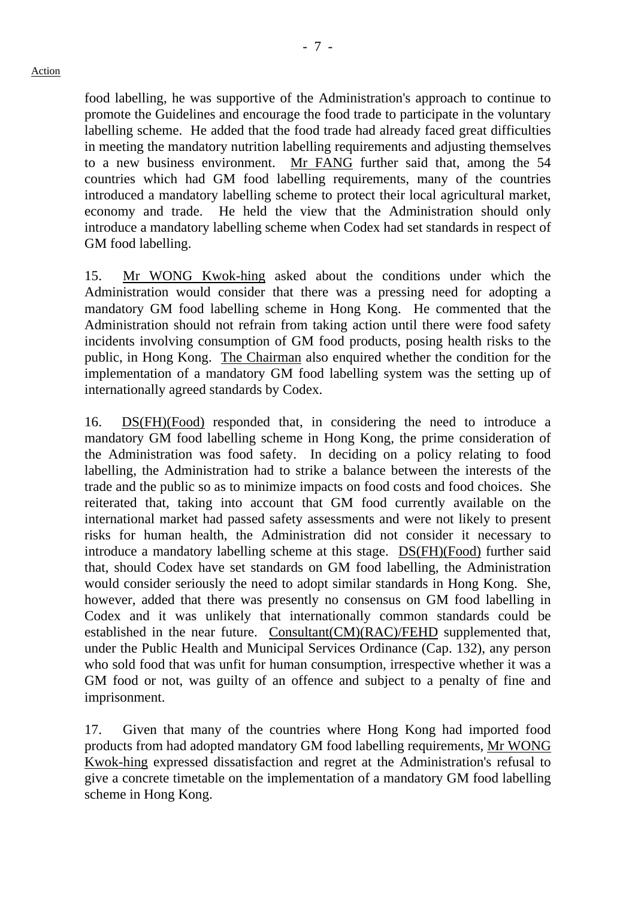food labelling, he was supportive of the Administration's approach to continue to promote the Guidelines and encourage the food trade to participate in the voluntary labelling scheme. He added that the food trade had already faced great difficulties in meeting the mandatory nutrition labelling requirements and adjusting themselves to a new business environment. Mr FANG further said that, among the 54 countries which had GM food labelling requirements, many of the countries introduced a mandatory labelling scheme to protect their local agricultural market, economy and trade. He held the view that the Administration should only introduce a mandatory labelling scheme when Codex had set standards in respect of GM food labelling.

15. Mr WONG Kwok-hing asked about the conditions under which the Administration would consider that there was a pressing need for adopting a mandatory GM food labelling scheme in Hong Kong. He commented that the Administration should not refrain from taking action until there were food safety incidents involving consumption of GM food products, posing health risks to the public, in Hong Kong. The Chairman also enquired whether the condition for the implementation of a mandatory GM food labelling system was the setting up of internationally agreed standards by Codex.

16. DS(FH)(Food) responded that, in considering the need to introduce a mandatory GM food labelling scheme in Hong Kong, the prime consideration of the Administration was food safety. In deciding on a policy relating to food labelling, the Administration had to strike a balance between the interests of the trade and the public so as to minimize impacts on food costs and food choices. She reiterated that, taking into account that GM food currently available on the international market had passed safety assessments and were not likely to present risks for human health, the Administration did not consider it necessary to introduce a mandatory labelling scheme at this stage. DS(FH)(Food) further said that, should Codex have set standards on GM food labelling, the Administration would consider seriously the need to adopt similar standards in Hong Kong. She, however, added that there was presently no consensus on GM food labelling in Codex and it was unlikely that internationally common standards could be established in the near future. Consultant(CM)(RAC)/FEHD supplemented that, under the Public Health and Municipal Services Ordinance (Cap. 132), any person who sold food that was unfit for human consumption, irrespective whether it was a GM food or not, was guilty of an offence and subject to a penalty of fine and imprisonment.

17. Given that many of the countries where Hong Kong had imported food products from had adopted mandatory GM food labelling requirements, Mr WONG Kwok-hing expressed dissatisfaction and regret at the Administration's refusal to give a concrete timetable on the implementation of a mandatory GM food labelling scheme in Hong Kong.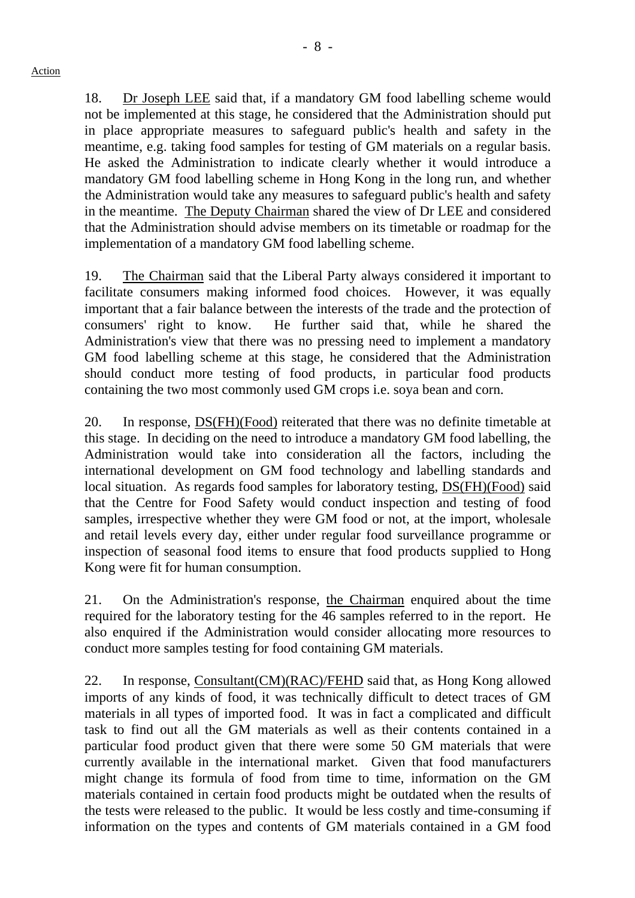18. Dr Joseph LEE said that, if a mandatory GM food labelling scheme would not be implemented at this stage, he considered that the Administration should put in place appropriate measures to safeguard public's health and safety in the meantime, e.g. taking food samples for testing of GM materials on a regular basis. He asked the Administration to indicate clearly whether it would introduce a mandatory GM food labelling scheme in Hong Kong in the long run, and whether the Administration would take any measures to safeguard public's health and safety in the meantime. The Deputy Chairman shared the view of Dr LEE and considered that the Administration should advise members on its timetable or roadmap for the implementation of a mandatory GM food labelling scheme.

19. The Chairman said that the Liberal Party always considered it important to facilitate consumers making informed food choices. However, it was equally important that a fair balance between the interests of the trade and the protection of consumers' right to know. He further said that, while he shared the Administration's view that there was no pressing need to implement a mandatory GM food labelling scheme at this stage, he considered that the Administration should conduct more testing of food products, in particular food products containing the two most commonly used GM crops i.e. soya bean and corn.

20. In response, DS(FH)(Food) reiterated that there was no definite timetable at this stage. In deciding on the need to introduce a mandatory GM food labelling, the Administration would take into consideration all the factors, including the international development on GM food technology and labelling standards and local situation. As regards food samples for laboratory testing, DS(FH)(Food) said that the Centre for Food Safety would conduct inspection and testing of food samples, irrespective whether they were GM food or not, at the import, wholesale and retail levels every day, either under regular food surveillance programme or inspection of seasonal food items to ensure that food products supplied to Hong Kong were fit for human consumption.

21. On the Administration's response, the Chairman enquired about the time required for the laboratory testing for the 46 samples referred to in the report. He also enquired if the Administration would consider allocating more resources to conduct more samples testing for food containing GM materials.

22. In response, Consultant(CM)(RAC)/FEHD said that, as Hong Kong allowed imports of any kinds of food, it was technically difficult to detect traces of GM materials in all types of imported food. It was in fact a complicated and difficult task to find out all the GM materials as well as their contents contained in a particular food product given that there were some 50 GM materials that were currently available in the international market. Given that food manufacturers might change its formula of food from time to time, information on the GM materials contained in certain food products might be outdated when the results of the tests were released to the public. It would be less costly and time-consuming if information on the types and contents of GM materials contained in a GM food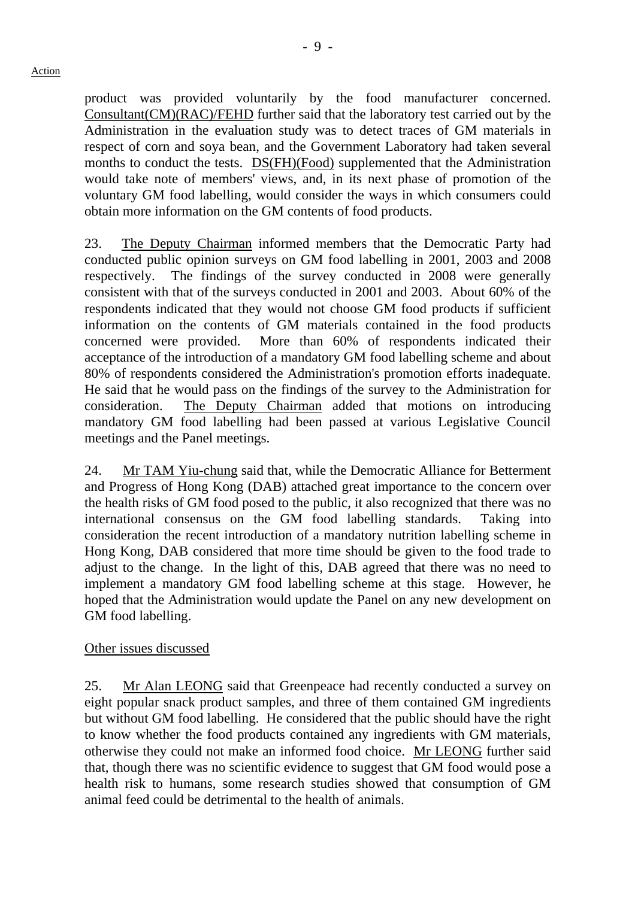product was provided voluntarily by the food manufacturer concerned. Consultant(CM)(RAC)/FEHD further said that the laboratory test carried out by the Administration in the evaluation study was to detect traces of GM materials in respect of corn and soya bean, and the Government Laboratory had taken several months to conduct the tests. DS(FH)(Food) supplemented that the Administration would take note of members' views, and, in its next phase of promotion of the voluntary GM food labelling, would consider the ways in which consumers could obtain more information on the GM contents of food products.

23. The Deputy Chairman informed members that the Democratic Party had conducted public opinion surveys on GM food labelling in 2001, 2003 and 2008 respectively. The findings of the survey conducted in 2008 were generally consistent with that of the surveys conducted in 2001 and 2003. About 60% of the respondents indicated that they would not choose GM food products if sufficient information on the contents of GM materials contained in the food products concerned were provided. More than 60% of respondents indicated their acceptance of the introduction of a mandatory GM food labelling scheme and about 80% of respondents considered the Administration's promotion efforts inadequate. He said that he would pass on the findings of the survey to the Administration for consideration. The Deputy Chairman added that motions on introducing mandatory GM food labelling had been passed at various Legislative Council meetings and the Panel meetings.

24. Mr TAM Yiu-chung said that, while the Democratic Alliance for Betterment and Progress of Hong Kong (DAB) attached great importance to the concern over the health risks of GM food posed to the public, it also recognized that there was no international consensus on the GM food labelling standards. Taking into consideration the recent introduction of a mandatory nutrition labelling scheme in Hong Kong, DAB considered that more time should be given to the food trade to adjust to the change. In the light of this, DAB agreed that there was no need to implement a mandatory GM food labelling scheme at this stage. However, he hoped that the Administration would update the Panel on any new development on GM food labelling.

### Other issues discussed

25. Mr Alan LEONG said that Greenpeace had recently conducted a survey on eight popular snack product samples, and three of them contained GM ingredients but without GM food labelling. He considered that the public should have the right to know whether the food products contained any ingredients with GM materials, otherwise they could not make an informed food choice. Mr LEONG further said that, though there was no scientific evidence to suggest that GM food would pose a health risk to humans, some research studies showed that consumption of GM animal feed could be detrimental to the health of animals.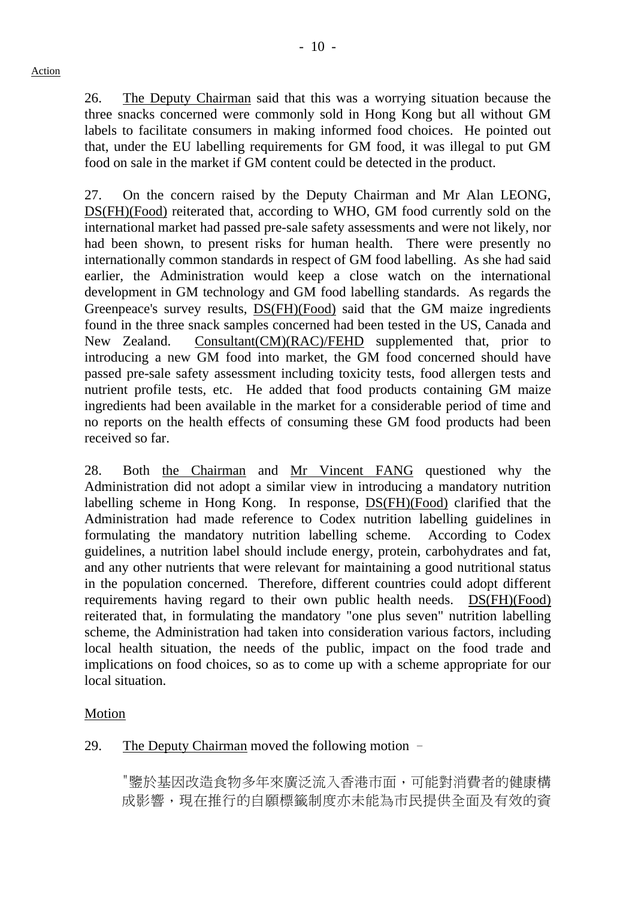26. The Deputy Chairman said that this was a worrying situation because the three snacks concerned were commonly sold in Hong Kong but all without GM labels to facilitate consumers in making informed food choices. He pointed out that, under the EU labelling requirements for GM food, it was illegal to put GM food on sale in the market if GM content could be detected in the product.

27. On the concern raised by the Deputy Chairman and Mr Alan LEONG, DS(FH)(Food) reiterated that, according to WHO, GM food currently sold on the international market had passed pre-sale safety assessments and were not likely, nor had been shown, to present risks for human health. There were presently no internationally common standards in respect of GM food labelling. As she had said earlier, the Administration would keep a close watch on the international development in GM technology and GM food labelling standards. As regards the Greenpeace's survey results, DS(FH)(Food) said that the GM maize ingredients found in the three snack samples concerned had been tested in the US, Canada and New Zealand. Consultant(CM)(RAC)/FEHD supplemented that, prior to introducing a new GM food into market, the GM food concerned should have passed pre-sale safety assessment including toxicity tests, food allergen tests and nutrient profile tests, etc. He added that food products containing GM maize ingredients had been available in the market for a considerable period of time and no reports on the health effects of consuming these GM food products had been received so far.

28. Both the Chairman and Mr Vincent FANG questioned why the Administration did not adopt a similar view in introducing a mandatory nutrition labelling scheme in Hong Kong. In response, DS(FH)(Food) clarified that the Administration had made reference to Codex nutrition labelling guidelines in formulating the mandatory nutrition labelling scheme. According to Codex guidelines, a nutrition label should include energy, protein, carbohydrates and fat, and any other nutrients that were relevant for maintaining a good nutritional status in the population concerned. Therefore, different countries could adopt different requirements having regard to their own public health needs. DS(FH)(Food) reiterated that, in formulating the mandatory "one plus seven" nutrition labelling scheme, the Administration had taken into consideration various factors, including local health situation, the needs of the public, impact on the food trade and implications on food choices, so as to come up with a scheme appropriate for our local situation.

## Motion

## 29. The Deputy Chairman moved the following motion -

"鑒於基因改造食物多年來廣泛流入香港市面,可能對消費者的健康構 成影響,現在推行的自願標籤制度亦未能為市民提供全面及有效的資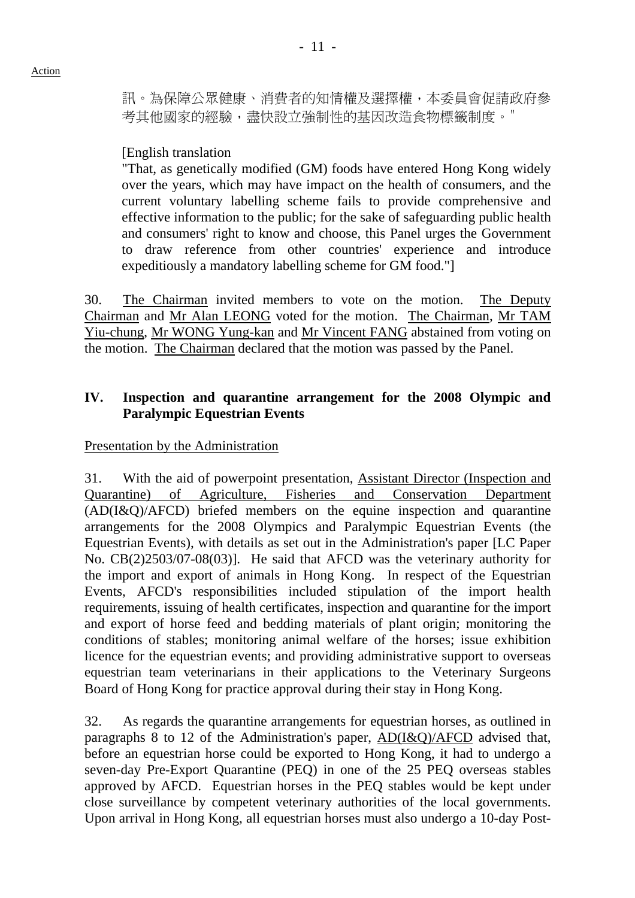訊。為保障公眾健康、消費者的知情權及選擇權,本委員會促請政府參 考其他國家的經驗,盡快設立強制性的基因改造食物標籤制度。"

[English translation

"That, as genetically modified (GM) foods have entered Hong Kong widely over the years, which may have impact on the health of consumers, and the current voluntary labelling scheme fails to provide comprehensive and effective information to the public; for the sake of safeguarding public health and consumers' right to know and choose, this Panel urges the Government to draw reference from other countries' experience and introduce expeditiously a mandatory labelling scheme for GM food."]

30. The Chairman invited members to vote on the motion. The Deputy Chairman and Mr Alan LEONG voted for the motion. The Chairman, Mr TAM Yiu-chung, Mr WONG Yung-kan and Mr Vincent FANG abstained from voting on the motion. The Chairman declared that the motion was passed by the Panel.

### **IV. Inspection and quarantine arrangement for the 2008 Olympic and Paralympic Equestrian Events**

Presentation by the Administration

31. With the aid of powerpoint presentation, Assistant Director (Inspection and Quarantine) of Agriculture, Fisheries and Conservation Department (AD(I&Q)/AFCD) briefed members on the equine inspection and quarantine arrangements for the 2008 Olympics and Paralympic Equestrian Events (the Equestrian Events), with details as set out in the Administration's paper [LC Paper No. CB(2)2503/07-08(03)]. He said that AFCD was the veterinary authority for the import and export of animals in Hong Kong. In respect of the Equestrian Events, AFCD's responsibilities included stipulation of the import health requirements, issuing of health certificates, inspection and quarantine for the import and export of horse feed and bedding materials of plant origin; monitoring the conditions of stables; monitoring animal welfare of the horses; issue exhibition licence for the equestrian events; and providing administrative support to overseas equestrian team veterinarians in their applications to the Veterinary Surgeons Board of Hong Kong for practice approval during their stay in Hong Kong.

32. As regards the quarantine arrangements for equestrian horses, as outlined in paragraphs 8 to 12 of the Administration's paper,  $AD(I&Q)/AFCD$  advised that, before an equestrian horse could be exported to Hong Kong, it had to undergo a seven-day Pre-Export Quarantine (PEQ) in one of the 25 PEQ overseas stables approved by AFCD. Equestrian horses in the PEQ stables would be kept under close surveillance by competent veterinary authorities of the local governments. Upon arrival in Hong Kong, all equestrian horses must also undergo a 10-day Post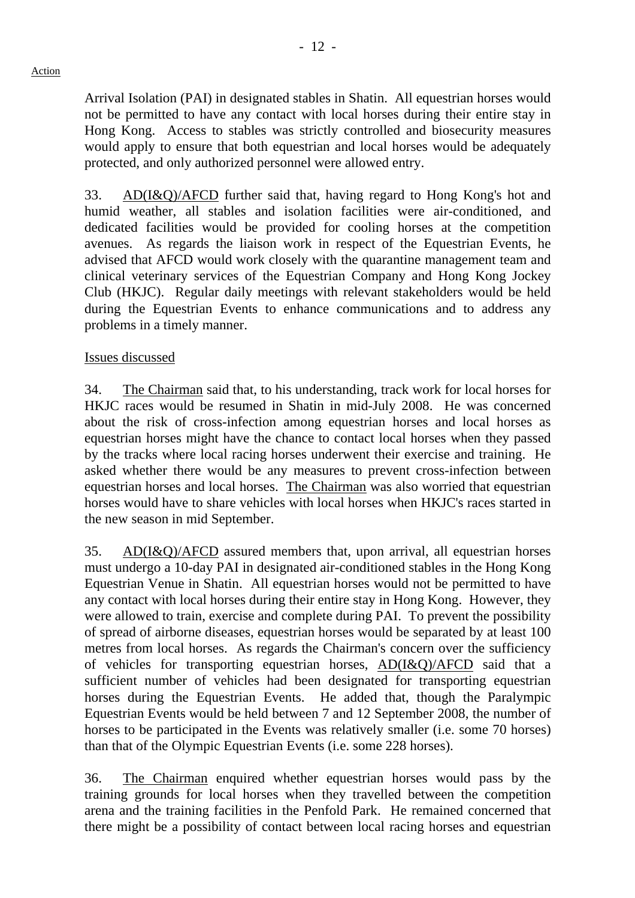Arrival Isolation (PAI) in designated stables in Shatin. All equestrian horses would not be permitted to have any contact with local horses during their entire stay in Hong Kong. Access to stables was strictly controlled and biosecurity measures would apply to ensure that both equestrian and local horses would be adequately protected, and only authorized personnel were allowed entry.

33. AD(I&Q)/AFCD further said that, having regard to Hong Kong's hot and humid weather, all stables and isolation facilities were air-conditioned, and dedicated facilities would be provided for cooling horses at the competition avenues. As regards the liaison work in respect of the Equestrian Events, he advised that AFCD would work closely with the quarantine management team and clinical veterinary services of the Equestrian Company and Hong Kong Jockey Club (HKJC). Regular daily meetings with relevant stakeholders would be held during the Equestrian Events to enhance communications and to address any problems in a timely manner.

#### Issues discussed

34. The Chairman said that, to his understanding, track work for local horses for HKJC races would be resumed in Shatin in mid-July 2008. He was concerned about the risk of cross-infection among equestrian horses and local horses as equestrian horses might have the chance to contact local horses when they passed by the tracks where local racing horses underwent their exercise and training. He asked whether there would be any measures to prevent cross-infection between equestrian horses and local horses. The Chairman was also worried that equestrian horses would have to share vehicles with local horses when HKJC's races started in the new season in mid September.

35. AD(I&Q)/AFCD assured members that, upon arrival, all equestrian horses must undergo a 10-day PAI in designated air-conditioned stables in the Hong Kong Equestrian Venue in Shatin. All equestrian horses would not be permitted to have any contact with local horses during their entire stay in Hong Kong. However, they were allowed to train, exercise and complete during PAI. To prevent the possibility of spread of airborne diseases, equestrian horses would be separated by at least 100 metres from local horses. As regards the Chairman's concern over the sufficiency of vehicles for transporting equestrian horses, AD(I&Q)/AFCD said that a sufficient number of vehicles had been designated for transporting equestrian horses during the Equestrian Events. He added that, though the Paralympic Equestrian Events would be held between 7 and 12 September 2008, the number of horses to be participated in the Events was relatively smaller (i.e. some 70 horses) than that of the Olympic Equestrian Events (i.e. some 228 horses).

36. The Chairman enquired whether equestrian horses would pass by the training grounds for local horses when they travelled between the competition arena and the training facilities in the Penfold Park. He remained concerned that there might be a possibility of contact between local racing horses and equestrian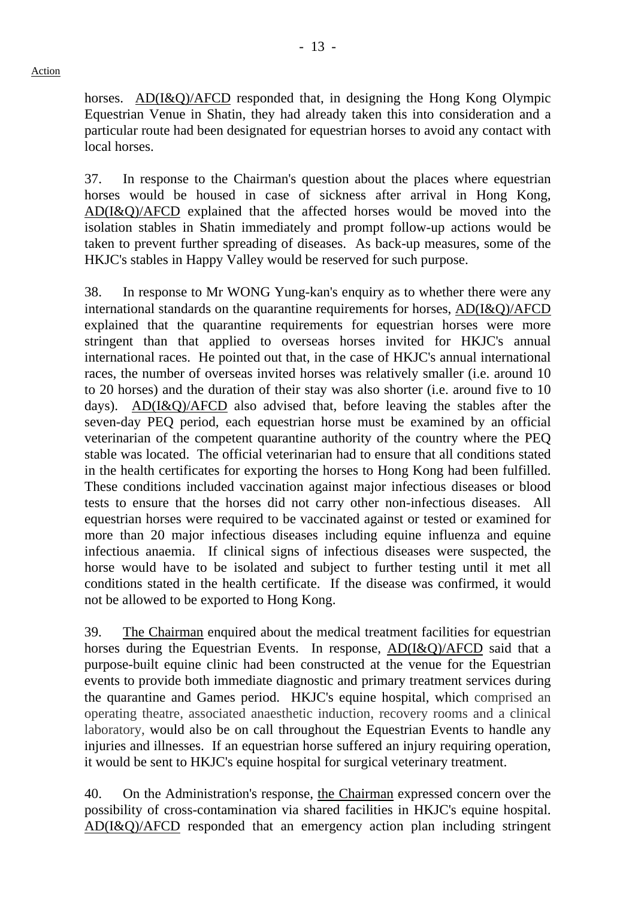horses. AD(I&Q)/AFCD responded that, in designing the Hong Kong Olympic Equestrian Venue in Shatin, they had already taken this into consideration and a particular route had been designated for equestrian horses to avoid any contact with local horses.

37. In response to the Chairman's question about the places where equestrian horses would be housed in case of sickness after arrival in Hong Kong, AD(I&Q)/AFCD explained that the affected horses would be moved into the isolation stables in Shatin immediately and prompt follow-up actions would be taken to prevent further spreading of diseases. As back-up measures, some of the HKJC's stables in Happy Valley would be reserved for such purpose.

38. In response to Mr WONG Yung-kan's enquiry as to whether there were any international standards on the quarantine requirements for horses, AD(I&Q)/AFCD explained that the quarantine requirements for equestrian horses were more stringent than that applied to overseas horses invited for HKJC's annual international races. He pointed out that, in the case of HKJC's annual international races, the number of overseas invited horses was relatively smaller (i.e. around 10 to 20 horses) and the duration of their stay was also shorter (i.e. around five to 10 days). AD(I&Q)/AFCD also advised that, before leaving the stables after the seven-day PEQ period, each equestrian horse must be examined by an official veterinarian of the competent quarantine authority of the country where the PEQ stable was located. The official veterinarian had to ensure that all conditions stated in the health certificates for exporting the horses to Hong Kong had been fulfilled. These conditions included vaccination against major infectious diseases or blood tests to ensure that the horses did not carry other non-infectious diseases. All equestrian horses were required to be vaccinated against or tested or examined for more than 20 major infectious diseases including equine influenza and equine infectious anaemia. If clinical signs of infectious diseases were suspected, the horse would have to be isolated and subject to further testing until it met all conditions stated in the health certificate. If the disease was confirmed, it would not be allowed to be exported to Hong Kong.

39. The Chairman enquired about the medical treatment facilities for equestrian horses during the Equestrian Events. In response, AD(I&Q)/AFCD said that a purpose-built equine clinic had been constructed at the venue for the Equestrian events to provide both immediate diagnostic and primary treatment services during the quarantine and Games period. HKJC's equine hospital, which comprised an operating theatre, associated anaesthetic induction, recovery rooms and a clinical laboratory, would also be on call throughout the Equestrian Events to handle any injuries and illnesses. If an equestrian horse suffered an injury requiring operation, it would be sent to HKJC's equine hospital for surgical veterinary treatment.

40. On the Administration's response, the Chairman expressed concern over the possibility of cross-contamination via shared facilities in HKJC's equine hospital. AD(I&Q)/AFCD responded that an emergency action plan including stringent